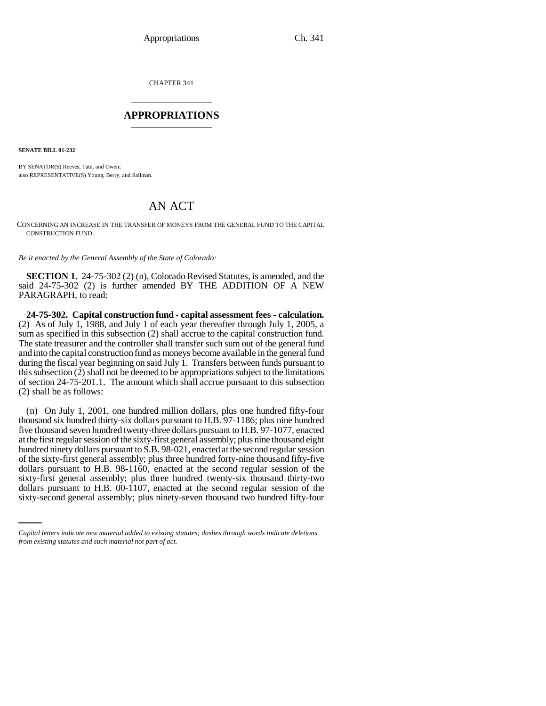CHAPTER 341 \_\_\_\_\_\_\_\_\_\_\_\_\_\_\_

## **APPROPRIATIONS** \_\_\_\_\_\_\_\_\_\_\_\_\_\_\_

**SENATE BILL 01-232**

BY SENATOR(S) Reeves, Tate, and Owen; also REPRESENTATIVE(S) Young, Berry, and Saliman.

## AN ACT

CONCERNING AN INCREASE IN THE TRANSFER OF MONEYS FROM THE GENERAL FUND TO THE CAPITAL CONSTRUCTION FUND.

*Be it enacted by the General Assembly of the State of Colorado:*

**SECTION 1.** 24-75-302 (2) (n), Colorado Revised Statutes, is amended, and the said 24-75-302 (2) is further amended BY THE ADDITION OF A NEW PARAGRAPH, to read:

**24-75-302. Capital construction fund - capital assessment fees - calculation.** (2) As of July 1, 1988, and July 1 of each year thereafter through July 1, 2005, a sum as specified in this subsection (2) shall accrue to the capital construction fund. The state treasurer and the controller shall transfer such sum out of the general fund and into the capital construction fund as moneys become available in the general fund during the fiscal year beginning on said July 1. Transfers between funds pursuant to this subsection (2) shall not be deemed to be appropriations subject to the limitations of section 24-75-201.1. The amount which shall accrue pursuant to this subsection (2) shall be as follows:

sixty-first general assembly; plus three hundred twenty-six thousand thirty-two (n) On July 1, 2001, one hundred million dollars, plus one hundred fifty-four thousand six hundred thirty-six dollars pursuant to H.B. 97-1186; plus nine hundred five thousand seven hundred twenty-three dollars pursuant to H.B. 97-1077, enacted at the first regular session of the sixty-first general assembly; plus nine thousand eight hundred ninety dollars pursuant to S.B. 98-021, enacted at the second regular session of the sixty-first general assembly; plus three hundred forty-nine thousand fifty-five dollars pursuant to H.B. 98-1160, enacted at the second regular session of the dollars pursuant to H.B. 00-1107, enacted at the second regular session of the sixty-second general assembly; plus ninety-seven thousand two hundred fifty-four

*Capital letters indicate new material added to existing statutes; dashes through words indicate deletions from existing statutes and such material not part of act.*